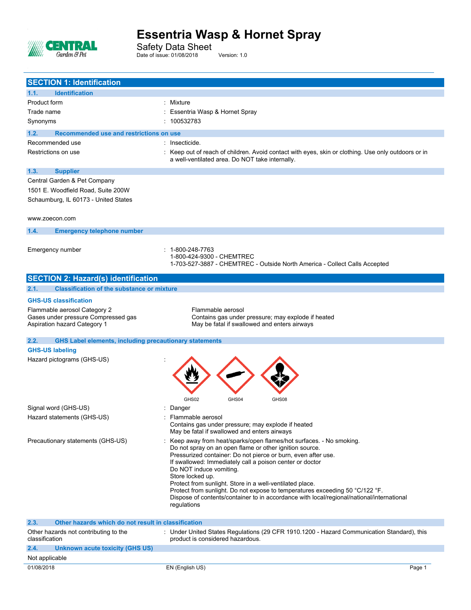

Safety Data Sheet Date of issue: 01/08/2018 Version: 1.0

| <b>SECTION 1: Identification</b>                                      |                                                                                                                                 |
|-----------------------------------------------------------------------|---------------------------------------------------------------------------------------------------------------------------------|
| <b>Identification</b><br>1.1.                                         |                                                                                                                                 |
| Product form                                                          | Mixture                                                                                                                         |
| Trade name                                                            | Essentria Wasp & Hornet Spray                                                                                                   |
| Synonyms                                                              | : 100532783                                                                                                                     |
| 1.2.<br>Recommended use and restrictions on use                       |                                                                                                                                 |
| Recommended use                                                       | : Insecticide.                                                                                                                  |
| Restrictions on use                                                   | : Keep out of reach of children. Avoid contact with eyes, skin or clothing. Use only outdoors or in                             |
|                                                                       | a well-ventilated area. Do NOT take internally.                                                                                 |
| <b>Supplier</b><br>1.3.                                               |                                                                                                                                 |
| Central Garden & Pet Company                                          |                                                                                                                                 |
| 1501 E. Woodfield Road, Suite 200W                                    |                                                                                                                                 |
| Schaumburg, IL 60173 - United States                                  |                                                                                                                                 |
|                                                                       |                                                                                                                                 |
| www.zoecon.com                                                        |                                                                                                                                 |
| 1.4.<br><b>Emergency telephone number</b>                             |                                                                                                                                 |
|                                                                       |                                                                                                                                 |
| Emergency number                                                      | $: 1 - 800 - 248 - 7763$                                                                                                        |
|                                                                       | 1-800-424-9300 - CHEMTREC<br>1-703-527-3887 - CHEMTREC - Outside North America - Collect Calls Accepted                         |
|                                                                       |                                                                                                                                 |
| <b>SECTION 2: Hazard(s) identification</b>                            |                                                                                                                                 |
| <b>Classification of the substance or mixture</b><br>2.1.             |                                                                                                                                 |
| <b>GHS-US classification</b>                                          |                                                                                                                                 |
| Flammable aerosol Category 2                                          | Flammable aerosol                                                                                                               |
| Gases under pressure Compressed gas                                   | Contains gas under pressure; may explode if heated                                                                              |
| Aspiration hazard Category 1                                          | May be fatal if swallowed and enters airways                                                                                    |
| 2.2.<br><b>GHS Label elements, including precautionary statements</b> |                                                                                                                                 |
| <b>GHS-US labeling</b>                                                |                                                                                                                                 |
| Hazard pictograms (GHS-US)                                            |                                                                                                                                 |
|                                                                       |                                                                                                                                 |
|                                                                       |                                                                                                                                 |
|                                                                       |                                                                                                                                 |
|                                                                       | GHS02<br>GHS04<br>GHS08                                                                                                         |
| Signal word (GHS-US)                                                  | : Danger                                                                                                                        |
| Hazard statements (GHS-US)                                            | Flammable aerosol                                                                                                               |
|                                                                       | Contains gas under pressure; may explode if heated                                                                              |
|                                                                       | May be fatal if swallowed and enters airways                                                                                    |
| Precautionary statements (GHS-US)                                     | : Keep away from heat/sparks/open flames/hot surfaces. - No smoking.<br>Do not spray on an open flame or other ignition source. |
|                                                                       | Pressurized container: Do not pierce or burn, even after use.                                                                   |
|                                                                       | If swallowed: Immediately call a poison center or doctor                                                                        |
|                                                                       | Do NOT induce vomiting.<br>Store locked up.                                                                                     |
|                                                                       | Protect from sunlight. Store in a well-ventilated place.                                                                        |
|                                                                       | Protect from sunlight. Do not expose to temperatures exceeding 50 °C/122 °F.                                                    |
|                                                                       | Dispose of contents/container to in accordance with local/regional/national/international<br>regulations                        |
|                                                                       |                                                                                                                                 |
| 2.3.<br>Other hazards which do not result in classification           |                                                                                                                                 |
| Other hazards not contributing to the                                 | : Under United States Regulations (29 CFR 1910.1200 - Hazard Communication Standard), this                                      |
| classification                                                        | product is considered hazardous.                                                                                                |
| 2.4.<br>Unknown acute toxicity (GHS US)                               |                                                                                                                                 |
| Not applicable                                                        |                                                                                                                                 |
| 01/08/2018                                                            | EN (English US)<br>Page 1                                                                                                       |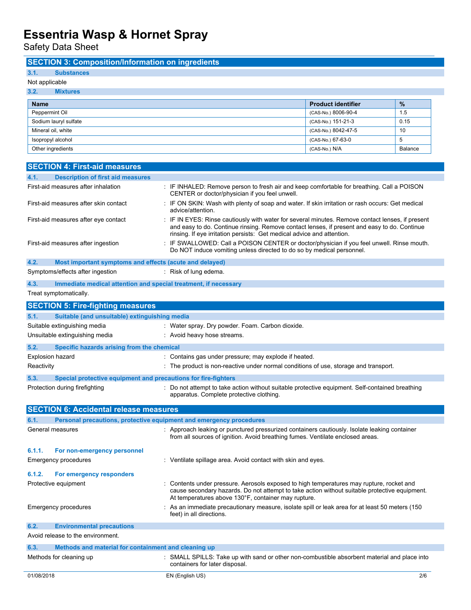Safety Data Sheet

## **SECTION 3: Composition/Information on ingredients**

## **3.1. Substances**

## Not applicable

| 3.2.<br><b>Mixtures</b> |                           |               |
|-------------------------|---------------------------|---------------|
| <b>Name</b>             | <b>Product identifier</b> | $\frac{9}{6}$ |
| Peppermint Oil          | (CAS-No.) 8006-90-4       | 1.5           |
| Sodium lauryl sulfate   | (CAS-No.) 151-21-3        | 0.15          |
| Mineral oil, white      | (CAS-No.) 8042-47-5       | 10            |
| Isopropyl alcohol       | (CAS-No.) 67-63-0         | 5             |
| Other ingredients       | (CAS-No.) N/A             | Balance       |

|            | <b>SECTION 4: First-aid measures</b>                                |                                                                                                                                                                                                                                                                          |
|------------|---------------------------------------------------------------------|--------------------------------------------------------------------------------------------------------------------------------------------------------------------------------------------------------------------------------------------------------------------------|
| 4.1.       | <b>Description of first aid measures</b>                            |                                                                                                                                                                                                                                                                          |
|            | First-aid measures after inhalation                                 | : IF INHALED: Remove person to fresh air and keep comfortable for breathing. Call a POISON<br>CENTER or doctor/physician if you feel unwell.                                                                                                                             |
|            | First-aid measures after skin contact                               | : IF ON SKIN: Wash with plenty of soap and water. If skin irritation or rash occurs: Get medical<br>advice/attention.                                                                                                                                                    |
|            | First-aid measures after eye contact                                | IF IN EYES: Rinse cautiously with water for several minutes. Remove contact lenses, if present<br>and easy to do. Continue rinsing. Remove contact lenses, if present and easy to do. Continue<br>rinsing. If eye irritation persists: Get medical advice and attention. |
|            | First-aid measures after ingestion                                  | : IF SWALLOWED: Call a POISON CENTER or doctor/physician if you feel unwell. Rinse mouth.<br>Do NOT induce vomiting unless directed to do so by medical personnel.                                                                                                       |
| 4.2.       | Most important symptoms and effects (acute and delayed)             |                                                                                                                                                                                                                                                                          |
|            | Symptoms/effects after ingestion                                    | : Risk of lung edema.                                                                                                                                                                                                                                                    |
| 4.3.       | Immediate medical attention and special treatment, if necessary     |                                                                                                                                                                                                                                                                          |
|            | Treat symptomatically.                                              |                                                                                                                                                                                                                                                                          |
|            | <b>SECTION 5: Fire-fighting measures</b>                            |                                                                                                                                                                                                                                                                          |
| 5.1.       | Suitable (and unsuitable) extinguishing media                       |                                                                                                                                                                                                                                                                          |
|            | Suitable extinguishing media                                        | : Water spray. Dry powder. Foam. Carbon dioxide.                                                                                                                                                                                                                         |
|            | Unsuitable extinguishing media                                      | : Avoid heavy hose streams.                                                                                                                                                                                                                                              |
| 5.2.       | Specific hazards arising from the chemical                          |                                                                                                                                                                                                                                                                          |
|            | Explosion hazard                                                    | : Contains gas under pressure; may explode if heated.                                                                                                                                                                                                                    |
| Reactivity |                                                                     | : The product is non-reactive under normal conditions of use, storage and transport.                                                                                                                                                                                     |
| 5.3.       | Special protective equipment and precautions for fire-fighters      |                                                                                                                                                                                                                                                                          |
|            | Protection during firefighting                                      | : Do not attempt to take action without suitable protective equipment. Self-contained breathing<br>apparatus. Complete protective clothing.                                                                                                                              |
|            | <b>SECTION 6: Accidental release measures</b>                       |                                                                                                                                                                                                                                                                          |
| 6.1.       | Personal precautions, protective equipment and emergency procedures |                                                                                                                                                                                                                                                                          |
|            | General measures                                                    | : Approach leaking or punctured pressurized containers cautiously. Isolate leaking container<br>from all sources of ignition. Avoid breathing fumes. Ventilate enclosed areas.                                                                                           |
| 6.1.1.     | For non-emergency personnel                                         |                                                                                                                                                                                                                                                                          |
|            | Emergency procedures                                                | : Ventilate spillage area. Avoid contact with skin and eyes.                                                                                                                                                                                                             |
| 6.1.2.     | For emergency responders                                            |                                                                                                                                                                                                                                                                          |
|            | Protective equipment                                                | : Contents under pressure. Aerosols exposed to high temperatures may rupture, rocket and<br>cause secondary hazards. Do not attempt to take action without suitable protective equipment.<br>At temperatures above 130°F, container may rupture.                         |
|            | Emergency procedures                                                | : As an immediate precautionary measure, isolate spill or leak area for at least 50 meters (150<br>feet) in all directions.                                                                                                                                              |
| 6.2.       | <b>Environmental precautions</b>                                    |                                                                                                                                                                                                                                                                          |
|            | Avoid release to the environment.                                   |                                                                                                                                                                                                                                                                          |
| 6.3.       | Methods and material for containment and cleaning up                |                                                                                                                                                                                                                                                                          |
|            | Methods for cleaning up                                             | : SMALL SPILLS: Take up with sand or other non-combustible absorbent material and place into<br>containers for later disposal.                                                                                                                                           |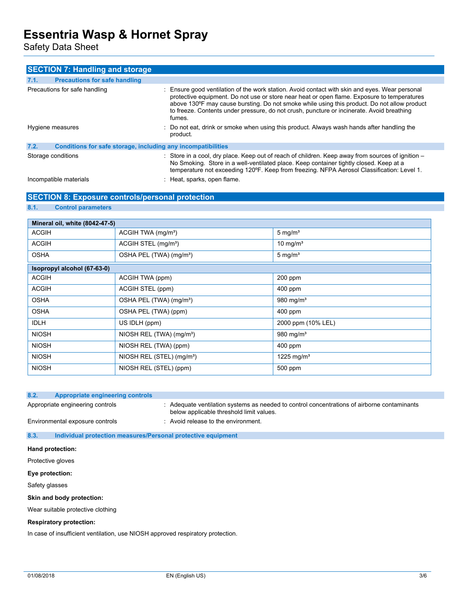Safety Data Sheet

| <b>SECTION 7: Handling and storage</b>                               |                                                                                                                                                                                                                                                                                                                                                                                                     |
|----------------------------------------------------------------------|-----------------------------------------------------------------------------------------------------------------------------------------------------------------------------------------------------------------------------------------------------------------------------------------------------------------------------------------------------------------------------------------------------|
| 7.1.<br><b>Precautions for safe handling</b>                         |                                                                                                                                                                                                                                                                                                                                                                                                     |
| Precautions for safe handling                                        | : Ensure good ventilation of the work station. Avoid contact with skin and eyes. Wear personal<br>protective equipment. Do not use or store near heat or open flame. Exposure to temperatures<br>above 130°F may cause bursting. Do not smoke while using this product. Do not allow product<br>to freeze. Contents under pressure, do not crush, puncture or incinerate. Avoid breathing<br>fumes. |
| Hygiene measures                                                     | : Do not eat, drink or smoke when using this product. Always wash hands after handling the<br>product.                                                                                                                                                                                                                                                                                              |
| 7.2.<br>Conditions for safe storage, including any incompatibilities |                                                                                                                                                                                                                                                                                                                                                                                                     |
| Storage conditions                                                   | $\therefore$ Store in a cool, dry place. Keep out of reach of children. Keep away from sources of ignition $-$<br>No Smoking. Store in a well-ventilated place. Keep container tightly closed. Keep at a<br>temperature not exceeding 120°F. Keep from freezing. NFPA Aerosol Classification: Level 1.                                                                                              |
| Incompatible materials                                               | : Heat, sparks, open flame.                                                                                                                                                                                                                                                                                                                                                                         |

### **SECTION 8: Exposure controls/personal protection**

### **8.1. Control parameters**

| Mineral oil, white (8042-47-5) |                                       |                        |  |  |
|--------------------------------|---------------------------------------|------------------------|--|--|
| <b>ACGIH</b>                   | ACGIH TWA (mg/m <sup>3</sup> )        | $5 \text{ mg/m}^3$     |  |  |
| <b>ACGIH</b>                   | ACGIH STEL (mg/m <sup>3</sup> )       | 10 mg/ $m3$            |  |  |
| <b>OSHA</b>                    | OSHA PEL (TWA) (mg/m <sup>3</sup> )   | $5 \text{ mg/m}^3$     |  |  |
| Isopropyl alcohol (67-63-0)    |                                       |                        |  |  |
| <b>ACGIH</b>                   | ACGIH TWA (ppm)                       | $200$ ppm              |  |  |
| <b>ACGIH</b>                   | ACGIH STEL (ppm)                      | 400 ppm                |  |  |
| <b>OSHA</b>                    | OSHA PEL (TWA) (mg/m <sup>3</sup> )   | 980 mg/m $3$           |  |  |
| <b>OSHA</b>                    | OSHA PEL (TWA) (ppm)                  | 400 ppm                |  |  |
| <b>IDLH</b>                    | US IDLH (ppm)                         | 2000 ppm (10% LEL)     |  |  |
| <b>NIOSH</b>                   | NIOSH REL (TWA) (mg/m <sup>3</sup> )  | 980 mg/m $3$           |  |  |
| <b>NIOSH</b>                   | NIOSH REL (TWA) (ppm)                 | $400$ ppm              |  |  |
| <b>NIOSH</b>                   | NIOSH REL (STEL) (mg/m <sup>3</sup> ) | 1225 mg/m <sup>3</sup> |  |  |
| <b>NIOSH</b>                   | NIOSH REL (STEL) (ppm)                | 500 ppm                |  |  |

| 8.2. | Appropriate engineering controls |                                                                                                                                       |
|------|----------------------------------|---------------------------------------------------------------------------------------------------------------------------------------|
|      | Appropriate engineering controls | Adequate ventilation systems as needed to control concentrations of airborne contaminants<br>below applicable threshold limit values. |
|      | Environmental exposure controls  | Avoid release to the environment.                                                                                                     |

**8.3. Individual protection measures/Personal protective equipment**

**Hand protection:**

Protective gloves

**Eye protection:**

Safety glasses

**Skin and body protection:**

Wear suitable protective clothing

#### **Respiratory protection:**

In case of insufficient ventilation, use NIOSH approved respiratory protection.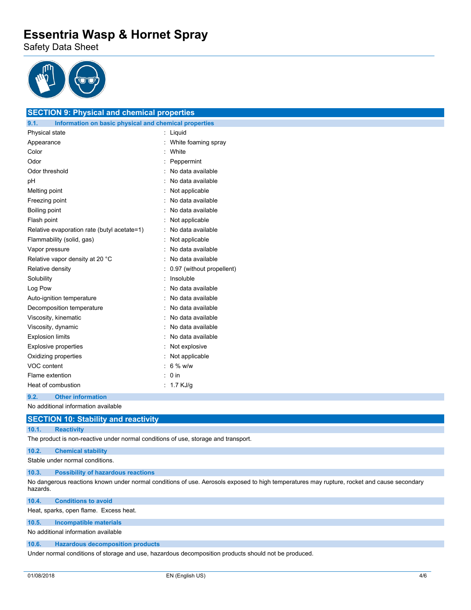Safety Data Sheet



**SECTION 9: Physical and chemical properties**

| <u>ULUTION 9. FIIYSICAI ANU CHENNCAI PIUPENIES</u>            |                   |                           |  |
|---------------------------------------------------------------|-------------------|---------------------------|--|
| 9.1.<br>Information on basic physical and chemical properties |                   |                           |  |
| Physical state                                                |                   | Liquid                    |  |
| Appearance                                                    |                   | White foaming spray       |  |
| Color                                                         |                   | White                     |  |
| Odor                                                          |                   | Peppermint                |  |
| Odor threshold                                                |                   | No data available         |  |
| рH                                                            | No data available |                           |  |
| Melting point                                                 | Not applicable    |                           |  |
| Freezing point                                                |                   | No data available         |  |
| Boiling point                                                 |                   | No data available         |  |
| Flash point                                                   |                   | Not applicable            |  |
| Relative evaporation rate (butyl acetate=1)                   |                   | No data available         |  |
| Flammability (solid, gas)                                     |                   | Not applicable            |  |
| Vapor pressure                                                |                   | No data available         |  |
| Relative vapor density at 20 °C                               |                   | No data available         |  |
| Relative density                                              |                   | 0.97 (without propellent) |  |
| Solubility                                                    |                   | Insoluble                 |  |
| Log Pow                                                       |                   | No data available         |  |
| Auto-ignition temperature                                     |                   | No data available         |  |
| Decomposition temperature                                     |                   | No data available         |  |
| Viscosity, kinematic                                          |                   | No data available         |  |
| Viscosity, dynamic                                            |                   | No data available         |  |
| <b>Explosion limits</b>                                       |                   | No data available         |  |
| Explosive properties                                          |                   | Not explosive             |  |
| Oxidizing properties                                          |                   | Not applicable            |  |
| VOC content                                                   |                   | $6\%$ w/w                 |  |
| Flame extention                                               |                   | $0$ in                    |  |
| Heat of combustion                                            |                   | 1.7 KJ/g                  |  |

#### **9.2. Other information**

No additional information available

## **SECTION 10: Stability and reactivity**

#### **10.1. Reactivity**

The product is non-reactive under normal conditions of use, storage and transport.

## **10.2. Chemical stability**

Stable under normal conditions.

#### **10.3. Possibility of hazardous reactions**

No dangerous reactions known under normal conditions of use. Aerosols exposed to high temperatures may rupture, rocket and cause secondary hazards.

#### **10.4. Conditions to avoid**

Heat, sparks, open flame. Excess heat.

#### **10.5. Incompatible materials**

No additional information available

#### **10.6. Hazardous decomposition products**

Under normal conditions of storage and use, hazardous decomposition products should not be produced.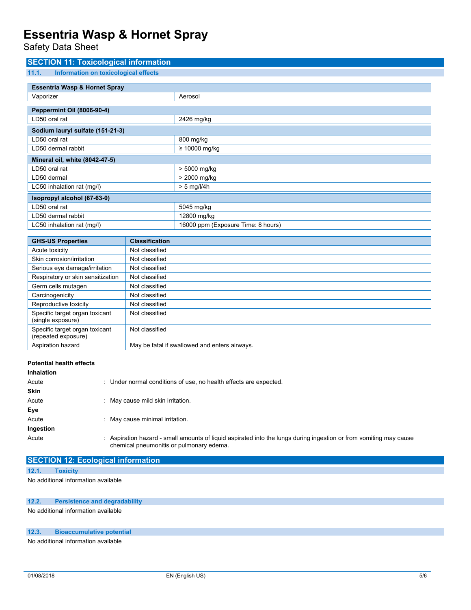Safety Data Sheet

| <b>SECTION 11: Toxicological information</b>  |                       |                                    |  |
|-----------------------------------------------|-----------------------|------------------------------------|--|
| 11.1.<br>Information on toxicological effects |                       |                                    |  |
|                                               |                       |                                    |  |
| <b>Essentria Wasp &amp; Hornet Spray</b>      |                       |                                    |  |
| Vaporizer                                     |                       | Aerosol                            |  |
| <b>Peppermint Oil (8006-90-4)</b>             |                       |                                    |  |
| LD50 oral rat                                 |                       | 2426 mg/kg                         |  |
| Sodium lauryl sulfate (151-21-3)              |                       |                                    |  |
| LD50 oral rat                                 |                       | 800 mg/kg                          |  |
| LD50 dermal rabbit                            |                       | $\geq 10000$ mg/kg                 |  |
| Mineral oil, white (8042-47-5)                |                       |                                    |  |
| LD50 oral rat                                 |                       | > 5000 mg/kg                       |  |
| LD50 dermal                                   |                       | > 2000 mg/kg                       |  |
| LC50 inhalation rat (mg/l)                    |                       | $> 5$ mg/l/4h                      |  |
| Isopropyl alcohol (67-63-0)                   |                       |                                    |  |
| LD50 oral rat                                 |                       | 5045 mg/kg                         |  |
| LD50 dermal rabbit                            |                       | 12800 mg/kg                        |  |
| LC50 inhalation rat (mg/l)                    |                       | 16000 ppm (Exposure Time: 8 hours) |  |
|                                               |                       |                                    |  |
| <b>GHS-US Properties</b>                      | <b>Classification</b> |                                    |  |

| GHS-US Properties                                     | Classification                                |
|-------------------------------------------------------|-----------------------------------------------|
| Acute toxicity                                        | Not classified                                |
| Skin corrosion/irritation                             | Not classified                                |
| Serious eye damage/irritation                         | Not classified                                |
| Respiratory or skin sensitization                     | Not classified                                |
| Germ cells mutagen                                    | Not classified                                |
| Carcinogenicity                                       | Not classified                                |
| Reproductive toxicity                                 | Not classified                                |
| Specific target organ toxicant<br>(single exposure)   | Not classified                                |
| Specific target organ toxicant<br>(repeated exposure) | Not classified                                |
| Aspiration hazard                                     | May be fatal if swallowed and enters airways. |
|                                                       |                                               |

| <b>Potential health effects</b> |                                                                                                                                                                |
|---------------------------------|----------------------------------------------------------------------------------------------------------------------------------------------------------------|
| Inhalation                      |                                                                                                                                                                |
| Acute                           | : Under normal conditions of use, no health effects are expected.                                                                                              |
| <b>Skin</b>                     |                                                                                                                                                                |
| Acute                           | : May cause mild skin irritation.                                                                                                                              |
| Eye                             |                                                                                                                                                                |
| Acute                           | : May cause minimal irritation.                                                                                                                                |
| Ingestion                       |                                                                                                                                                                |
| Acute                           | : Aspiration hazard - small amounts of liquid aspirated into the lungs during ingestion or from vomiting may cause<br>chemical pneumonitis or pulmonary edema. |

**SECTION 12: Ecological information**

### **12.1. Toxicity**

No additional information available

### **12.2. Persistence and degradability**

No additional information available

#### **12.3. Bioaccumulative potential**

No additional information available